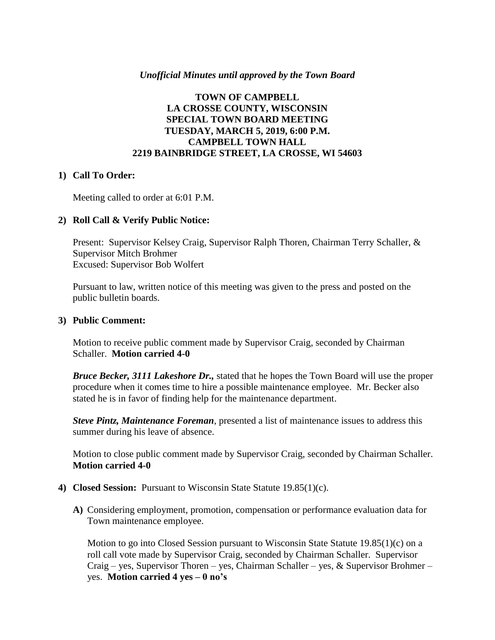### *Unofficial Minutes until approved by the Town Board*

## **TOWN OF CAMPBELL LA CROSSE COUNTY, WISCONSIN SPECIAL TOWN BOARD MEETING TUESDAY, MARCH 5, 2019, 6:00 P.M. CAMPBELL TOWN HALL 2219 BAINBRIDGE STREET, LA CROSSE, WI 54603**

### **1) Call To Order:**

Meeting called to order at 6:01 P.M.

### **2) Roll Call & Verify Public Notice:**

Present: Supervisor Kelsey Craig, Supervisor Ralph Thoren, Chairman Terry Schaller, & Supervisor Mitch Brohmer Excused: Supervisor Bob Wolfert

Pursuant to law, written notice of this meeting was given to the press and posted on the public bulletin boards.

#### **3) Public Comment:**

Motion to receive public comment made by Supervisor Craig, seconded by Chairman Schaller. **Motion carried 4-0**

*Bruce Becker, 3111 Lakeshore Dr.,* stated that he hopes the Town Board will use the proper procedure when it comes time to hire a possible maintenance employee. Mr. Becker also stated he is in favor of finding help for the maintenance department.

*Steve Pintz, Maintenance Foreman*, presented a list of maintenance issues to address this summer during his leave of absence.

Motion to close public comment made by Supervisor Craig, seconded by Chairman Schaller. **Motion carried 4-0**

- **4) Closed Session:** Pursuant to Wisconsin State Statute 19.85(1)(c).
	- **A)** Considering employment, promotion, compensation or performance evaluation data for Town maintenance employee.

Motion to go into Closed Session pursuant to Wisconsin State Statute  $19.85(1)(c)$  on a roll call vote made by Supervisor Craig, seconded by Chairman Schaller. Supervisor Craig – yes, Supervisor Thoren – yes, Chairman Schaller – yes, & Supervisor Brohmer – yes. **Motion carried 4 yes – 0 no's**